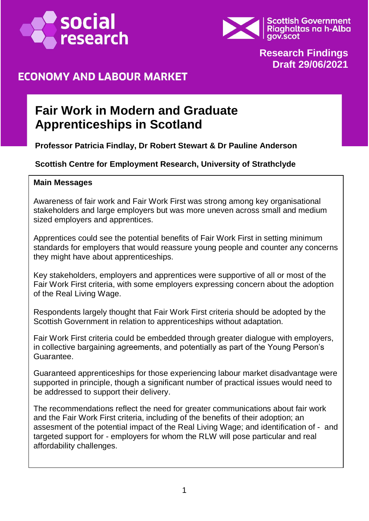



#### **Research Findings Draft 29/06/2021**

### **ECONOMY AND LABOUR MARKET**

# **Fair Work in Modern and Graduate Apprenticeships in Scotland**

**Professor Patricia Findlay, Dr Robert Stewart & Dr Pauline Anderson**

#### **Scottish Centre for Employment Research, University of Strathclyde**

#### **Main Messages**

Awareness of fair work and Fair Work First was strong among key organisational stakeholders and large employers but was more uneven across small and medium sized employers and apprentices.

Apprentices could see the potential benefits of Fair Work First in setting minimum standards for employers that would reassure young people and counter any concerns they might have about apprenticeships.

Key stakeholders, employers and apprentices were supportive of all or most of the Fair Work First criteria, with some employers expressing concern about the adoption of the Real Living Wage.

Respondents largely thought that Fair Work First criteria should be adopted by the Scottish Government in relation to apprenticeships without adaptation.

Fair Work First criteria could be embedded through greater dialogue with employers, in collective bargaining agreements, and potentially as part of the Young Person's Guarantee.

Guaranteed apprenticeships for those experiencing labour market disadvantage were supported in principle, though a significant number of practical issues would need to be addressed to support their delivery.

The recommendations reflect the need for greater communications about fair work and the Fair Work First criteria, including of the benefits of their adoption; an assesment of the potential impact of the Real Living Wage; and identification of - and targeted support for - employers for whom the RLW will pose particular and real affordability challenges.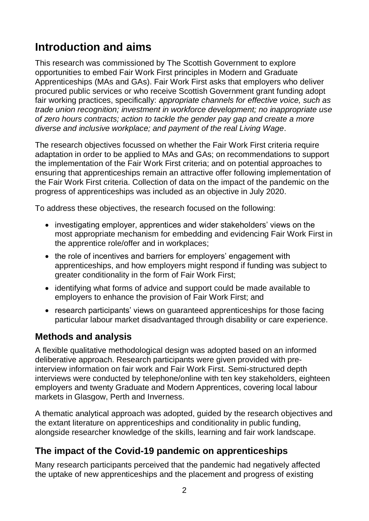# **Introduction and aims**

This research was commissioned by The Scottish Government to explore opportunities to embed Fair Work First principles in Modern and Graduate Apprenticeships (MAs and GAs). Fair Work First asks that employers who deliver procured public services or who receive Scottish Government grant funding adopt fair working practices, specifically: *appropriate channels for effective voice, such as trade union recognition; investment in workforce development; no inappropriate use of zero hours contracts; action to tackle the gender pay gap and create a more diverse and inclusive workplace; and payment of the real Living Wage*.

The research objectives focussed on whether the Fair Work First criteria require adaptation in order to be applied to MAs and GAs; on recommendations to support the implementation of the Fair Work First criteria; and on potential approaches to ensuring that apprenticeships remain an attractive offer following implementation of the Fair Work First criteria. Collection of data on the impact of the pandemic on the progress of apprenticeships was included as an objective in July 2020.

To address these objectives, the research focused on the following:

- investigating employer, apprentices and wider stakeholders' views on the most appropriate mechanism for embedding and evidencing Fair Work First in the apprentice role/offer and in workplaces;
- the role of incentives and barriers for employers' engagement with apprenticeships, and how employers might respond if funding was subject to greater conditionality in the form of Fair Work First;
- identifying what forms of advice and support could be made available to employers to enhance the provision of Fair Work First; and
- research participants' views on guaranteed apprenticeships for those facing particular labour market disadvantaged through disability or care experience.

#### **Methods and analysis**

A flexible qualitative methodological design was adopted based on an informed deliberative approach. Research participants were given provided with preinterview information on fair work and Fair Work First. Semi-structured depth interviews were conducted by telephone/online with ten key stakeholders, eighteen employers and twenty Graduate and Modern Apprentices, covering local labour markets in Glasgow, Perth and Inverness.

A thematic analytical approach was adopted, guided by the research objectives and the extant literature on apprenticeships and conditionality in public funding, alongside researcher knowledge of the skills, learning and fair work landscape.

#### **The impact of the Covid-19 pandemic on apprenticeships**

Many research participants perceived that the pandemic had negatively affected the uptake of new apprenticeships and the placement and progress of existing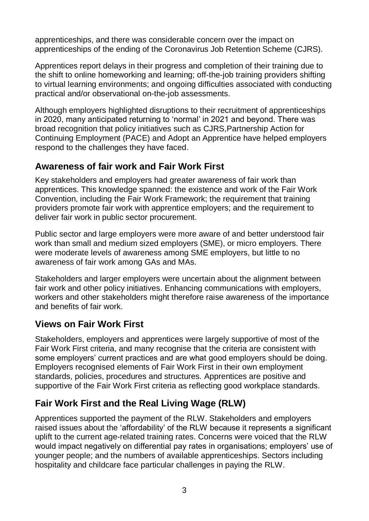apprenticeships, and there was considerable concern over the impact on apprenticeships of the ending of the Coronavirus Job Retention Scheme (CJRS).

Apprentices report delays in their progress and completion of their training due to the shift to online homeworking and learning; off-the-job training providers shifting to virtual learning environments; and ongoing difficulties associated with conducting practical and/or observational on-the-job assessments.

Although employers highlighted disruptions to their recruitment of apprenticeships in 2020, many anticipated returning to 'normal' in 2021 and beyond. There was broad recognition that policy initiatives such as CJRS,Partnership Action for Continuing Employment (PACE) and Adopt an Apprentice have helped employers respond to the challenges they have faced.

# **Awareness of fair work and Fair Work First**

Key stakeholders and employers had greater awareness of fair work than apprentices. This knowledge spanned: the existence and work of the Fair Work Convention, including the Fair Work Framework; the requirement that training providers promote fair work with apprentice employers; and the requirement to deliver fair work in public sector procurement.

Public sector and large employers were more aware of and better understood fair work than small and medium sized employers (SME), or micro employers. There were moderate levels of awareness among SME employers, but little to no awareness of fair work among GAs and MAs.

Stakeholders and larger employers were uncertain about the alignment between fair work and other policy initiatives. Enhancing communications with employers, workers and other stakeholders might therefore raise awareness of the importance and benefits of fair work.

# **Views on Fair Work First**

Stakeholders, employers and apprentices were largely supportive of most of the Fair Work First criteria, and many recognise that the criteria are consistent with some employers' current practices and are what good employers should be doing. Employers recognised elements of Fair Work First in their own employment standards, policies, procedures and structures. Apprentices are positive and supportive of the Fair Work First criteria as reflecting good workplace standards.

# **Fair Work First and the Real Living Wage (RLW)**

Apprentices supported the payment of the RLW. Stakeholders and employers raised issues about the 'affordability' of the RLW because it represents a significant uplift to the current age-related training rates. Concerns were voiced that the RLW would impact negatively on differential pay rates in organisations; employers' use of younger people; and the numbers of available apprenticeships. Sectors including hospitality and childcare face particular challenges in paying the RLW.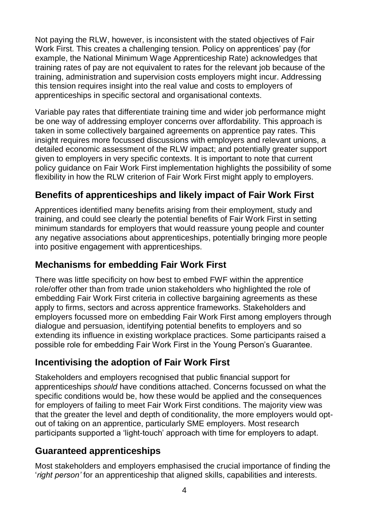Not paying the RLW, however, is inconsistent with the stated objectives of Fair Work First. This creates a challenging tension. Policy on apprentices' pay (for example, the National Minimum Wage Apprenticeship Rate) acknowledges that training rates of pay are not equivalent to rates for the relevant job because of the training, administration and supervision costs employers might incur. Addressing this tension requires insight into the real value and costs to employers of apprenticeships in specific sectoral and organisational contexts.

Variable pay rates that differentiate training time and wider job performance might be one way of addressing employer concerns over affordability. This approach is taken in some collectively bargained agreements on apprentice pay rates. This insight requires more focussed discussions with employers and relevant unions, a detailed economic assessment of the RLW impact; and potentially greater support given to employers in very specific contexts. It is important to note that current policy guidance on Fair Work First implementation highlights the possibility of some flexibility in how the RLW criterion of Fair Work First might apply to employers.

# **Benefits of apprenticeships and likely impact of Fair Work First**

Apprentices identified many benefits arising from their employment, study and training, and could see clearly the potential benefits of Fair Work First in setting minimum standards for employers that would reassure young people and counter any negative associations about apprenticeships, potentially bringing more people into positive engagement with apprenticeships.

#### **Mechanisms for embedding Fair Work First**

There was little specificity on how best to embed FWF within the apprentice role/offer other than from trade union stakeholders who highlighted the role of embedding Fair Work First criteria in collective bargaining agreements as these apply to firms, sectors and across apprentice frameworks. Stakeholders and employers focussed more on embedding Fair Work First among employers through dialogue and persuasion, identifying potential benefits to employers and so extending its influence in existing workplace practices. Some participants raised a possible role for embedding Fair Work First in the Young Person's Guarantee.

# **Incentivising the adoption of Fair Work First**

Stakeholders and employers recognised that public financial support for apprenticeships *should* have conditions attached. Concerns focussed on what the specific conditions would be, how these would be applied and the consequences for employers of failing to meet Fair Work First conditions. The majority view was that the greater the level and depth of conditionality, the more employers would optout of taking on an apprentice, particularly SME employers. Most research participants supported a 'light-touch' approach with time for employers to adapt.

# **Guaranteed apprenticeships**

Most stakeholders and employers emphasised the crucial importance of finding the '*right person'* for an apprenticeship that aligned skills, capabilities and interests.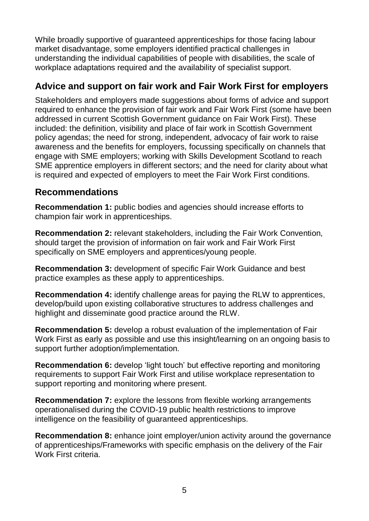While broadly supportive of guaranteed apprenticeships for those facing labour market disadvantage, some employers identified practical challenges in understanding the individual capabilities of people with disabilities, the scale of workplace adaptations required and the availability of specialist support.

### **Advice and support on fair work and Fair Work First for employers**

Stakeholders and employers made suggestions about forms of advice and support required to enhance the provision of fair work and Fair Work First (some have been addressed in current Scottish Government guidance on Fair Work First). These included: the definition, visibility and place of fair work in Scottish Government policy agendas; the need for strong, independent, advocacy of fair work to raise awareness and the benefits for employers, focussing specifically on channels that engage with SME employers; working with Skills Development Scotland to reach SME apprentice employers in different sectors; and the need for clarity about what is required and expected of employers to meet the Fair Work First conditions.

#### **Recommendations**

**Recommendation 1:** public bodies and agencies should increase efforts to champion fair work in apprenticeships.

**Recommendation 2:** relevant stakeholders, including the Fair Work Convention, should target the provision of information on fair work and Fair Work First specifically on SME employers and apprentices/young people.

**Recommendation 3:** development of specific Fair Work Guidance and best practice examples as these apply to apprenticeships.

**Recommendation 4:** identify challenge areas for paying the RLW to apprentices, develop/build upon existing collaborative structures to address challenges and highlight and disseminate good practice around the RLW.

**Recommendation 5:** develop a robust evaluation of the implementation of Fair Work First as early as possible and use this insight/learning on an ongoing basis to support further adoption/implementation.

**Recommendation 6:** develop 'light touch' but effective reporting and monitoring requirements to support Fair Work First and utilise workplace representation to support reporting and monitoring where present.

**Recommendation 7:** explore the lessons from flexible working arrangements operationalised during the COVID-19 public health restrictions to improve intelligence on the feasibility of guaranteed apprenticeships.

**Recommendation 8:** enhance joint employer/union activity around the governance of apprenticeships/Frameworks with specific emphasis on the delivery of the Fair Work First criteria.